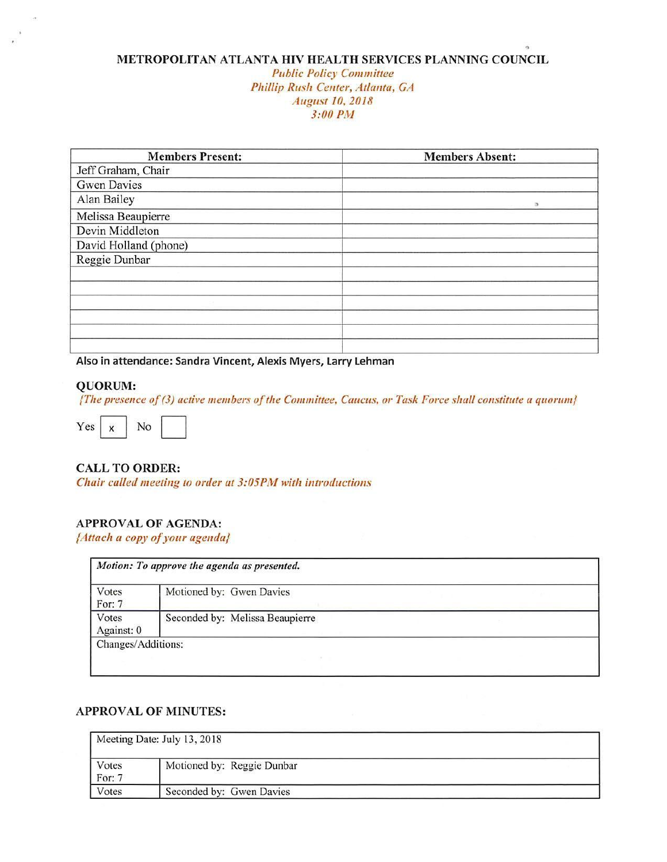# **METROPOLITAN ATLANTA HIV HEALTH SERVICES PLANNING COUNCIL**

#### Public *Policy Committee Phillip* Rusli Center, Atlanta, *GA*  **August** *IO, 2018*  3:00 PM

| <b>Members Present:</b> | <b>Members Absent:</b> |
|-------------------------|------------------------|
| Jeff Graham, Chair      |                        |
| <b>Gwen Davies</b>      |                        |
| Alan Bailey             |                        |
| Melissa Beaupierre      |                        |
| Devin Middleton         |                        |
| David Holland (phone)   |                        |
| Reggie Dunbar           |                        |
|                         |                        |
|                         |                        |
|                         |                        |
|                         |                        |
|                         |                        |
|                         |                        |

**Also in attendance: Sandra Vincent, Alexis Myers, Larry Lehman** 

#### **QUORUM:**

*{The presence of (3) active members of Ille Committee, Caucus. or Task Force shall* constitute *a quorum}* 

 $Yes \begin{array}{|c|c|} \hline x & No \end{array}$ 

### **CALL TO ORDER:**

Chair called meeting to order at 3:05PM with introductions

## **APPROVAL OF AGENDA:**

*{Attach a copy* ofyour *agenda}* 

| Votes<br>For: 7     | Motioned by: Gwen Davies        |  |
|---------------------|---------------------------------|--|
| Votes<br>Against: 0 | Seconded by: Melissa Beaupierre |  |

#### **APPROVAL OF MINUTES:**

|                 | Meeting Date: July 13, 2018 |  |  |
|-----------------|-----------------------------|--|--|
| Votes<br>For: 7 | Motioned by: Reggie Dunbar  |  |  |
| Votes           | Seconded by: Gwen Davies    |  |  |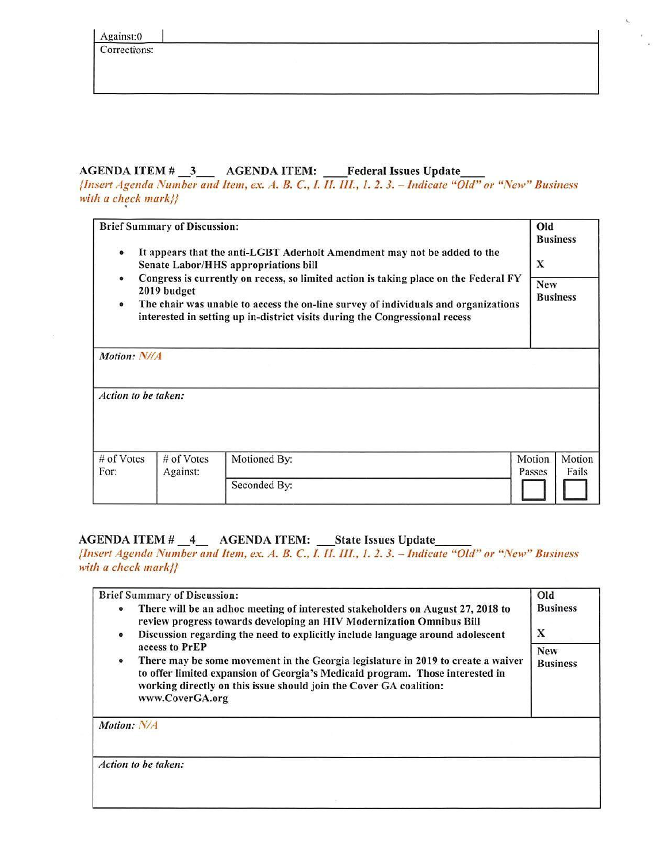Corrections:

# AGENDA ITEM # \_3 \_\_ AGENDA ITEM: Federal Issues Update

*{Insert Agenda Number and Item, ex. A. 8. C., I. II. III., I. 2. 3. - Indicate "Old" or "New" Business*  with *a check* mark}}

Brief Summary of Discussion: Old Business • It appears that the anti-LGBT Aderholt Amendment may not be added to the Senate Labor/HHS appropriations bill X • Congress is currently on recess, so limited action is taking place on the Federal FY 2019 budget Business • The chair was unable to access the on-line survey of individuals and organizations interested in setting up in-district visits during the Congressional recess *Motion: N/IA Action to be taken:*  # of Votes | # of Votes | Motioned By: | Motion | Motion | Motion | Motion | Motion | Motion | Motion | Motion | Motion | Motion | Motion | Motion | Motion | Motion | Motion | Motion | Motion | Motion | Motion | Motion | M For: Against: Motioned By.<br>For: Against: Passes Fails Seconded By: D D

# AGENDA ITEM# 4 AGENDA ITEM: \_State Issues Update \_\_

*{Insert Agenda Number and Item, ex. A. 8. C., !. Tl. III., I. 2. 3. - Indicate* "Old" *or* "New" Business with *a check* mark}}

|             | <b>Brief Summary of Discussion:</b>                                                                                                                                                                                                                        | Old                           |
|-------------|------------------------------------------------------------------------------------------------------------------------------------------------------------------------------------------------------------------------------------------------------------|-------------------------------|
| $\bullet$   | There will be an adhoc meeting of interested stakeholders on August 27, 2018 to<br>review progress towards developing an HIV Modernization Omnibus Bill                                                                                                    | <b>Business</b>               |
| $\bullet$   | Discussion regarding the need to explicitly include language around adolescent<br>access to PrEP                                                                                                                                                           | X                             |
| $\bullet$   | There may be some movement in the Georgia legislature in 2019 to create a waiver<br>to offer limited expansion of Georgia's Medicaid program. Those interested in<br>working directly on this issue should join the Cover GA coalition:<br>www.CoverGA.org | <b>New</b><br><b>Business</b> |
| Motion: N/A |                                                                                                                                                                                                                                                            |                               |
|             | Action to be taken:                                                                                                                                                                                                                                        |                               |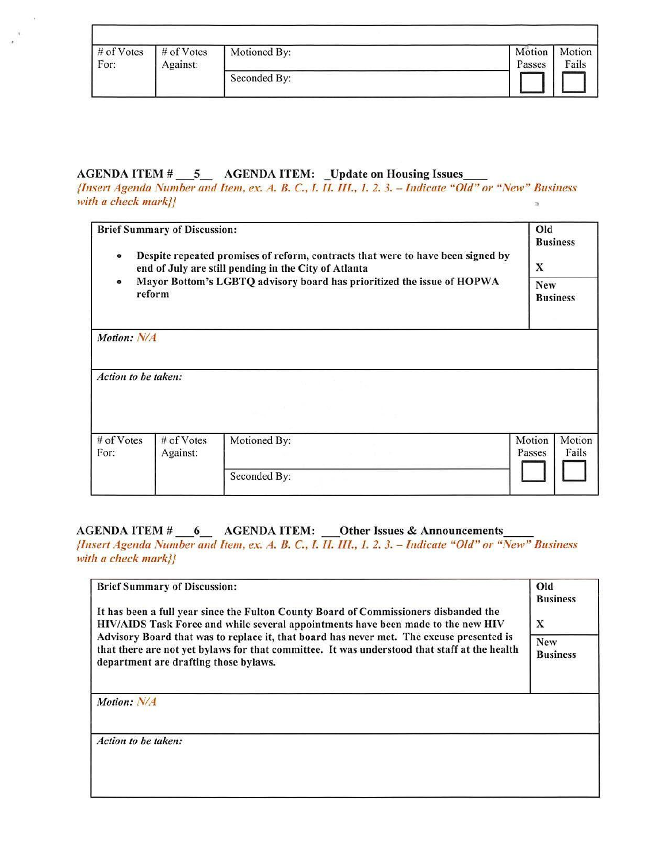| $#$ of Votes | # of Votes | Motioned By: | Motion | Motion |
|--------------|------------|--------------|--------|--------|
| For:         | Against:   |              | Passes | Fails  |
|              |            | Seconded By: |        |        |

## AGENDA ITEM # \_\_ 5 \_\_ AGENDA ITEM: \_Update on Housing Issues

{Insert *Agenda Number and Item, ex. A. B. C., I. II. Ill., /. 2. 3. - Indicate "Old" or "New" Business with a check* markl} ~

| $\bullet$                                                                                     | <b>Brief Summary of Discussion:</b> | Despite repeated promises of reform, contracts that were to have been signed by<br>end of July are still pending in the City of Atlanta | Old<br>X | <b>Business</b> |
|-----------------------------------------------------------------------------------------------|-------------------------------------|-----------------------------------------------------------------------------------------------------------------------------------------|----------|-----------------|
| Mayor Bottom's LGBTQ advisory board has prioritized the issue of HOPWA<br>$\bullet$<br>reform |                                     | <b>New</b><br><b>Business</b>                                                                                                           |          |                 |
| Motion: N/A                                                                                   |                                     |                                                                                                                                         |          |                 |
| Action to be taken:                                                                           |                                     |                                                                                                                                         |          |                 |
| # of Votes                                                                                    | # of Votes                          | Motioned By:                                                                                                                            | Motion   | Motion          |
| For:                                                                                          | Against:                            |                                                                                                                                         | Passes   | Fails           |
|                                                                                               |                                     | Seconded By:                                                                                                                            |          |                 |

# AGENDA ITEM # \_\_6\_ AGENDA ITEM: \_\_Other Issues & Announcements

*{Insert Agenda Number and Item, ex . .4. B. C., l. I/. Tl/., 1. 2. 3. - Indicate* "Old" *or* "New" *Business*  with a check mark}}

| <b>Brief Summary of Discussion:</b>                                                                                                                                                                                               | Old                  |
|-----------------------------------------------------------------------------------------------------------------------------------------------------------------------------------------------------------------------------------|----------------------|
| It has been a full year since the Fulton County Board of Commissioners disbanded the<br>HIV/AIDS Task Force and while several appointments have been made to the new HIV                                                          | <b>Business</b><br>X |
| Advisory Board that was to replace it, that board has never met. The excuse presented is<br>that there are not yet bylaws for that committee. It was understood that staff at the health<br>department are drafting those bylaws. |                      |
| Motion: N/A                                                                                                                                                                                                                       |                      |
| Action to be taken:                                                                                                                                                                                                               |                      |
|                                                                                                                                                                                                                                   |                      |